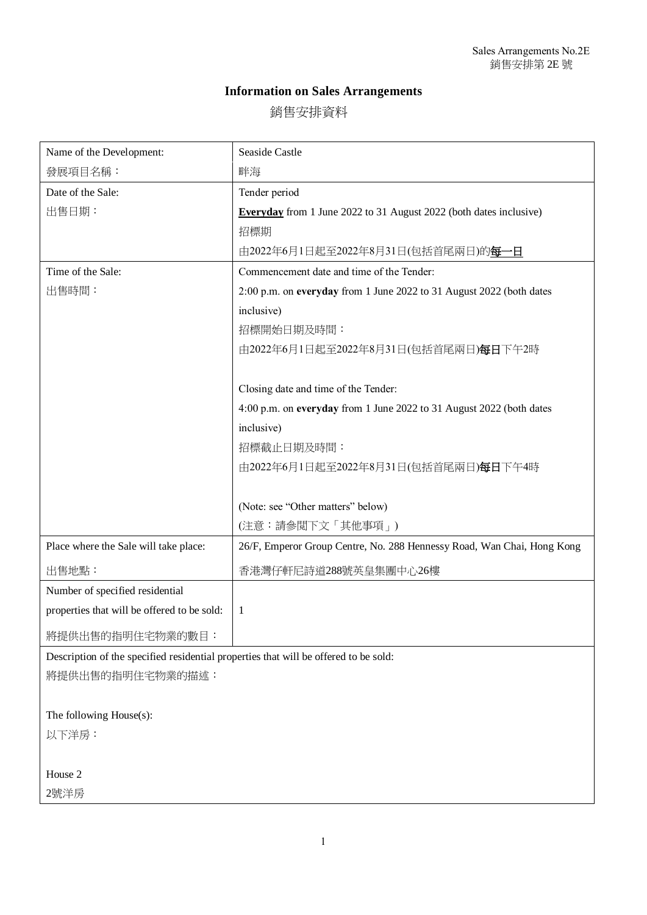## **Information on Sales Arrangements**

銷售安排資料

| Name of the Development:                                                             | Seaside Castle                                                            |
|--------------------------------------------------------------------------------------|---------------------------------------------------------------------------|
| 發展項目名稱:                                                                              | 畔海                                                                        |
| Date of the Sale:                                                                    | Tender period                                                             |
| 出售日期:                                                                                | <b>Everyday</b> from 1 June 2022 to 31 August 2022 (both dates inclusive) |
|                                                                                      | 招標期                                                                       |
|                                                                                      | 由2022年6月1日起至2022年8月31日(包括首尾兩日)的每一日                                        |
| Time of the Sale:                                                                    | Commencement date and time of the Tender:                                 |
| 出售時間:                                                                                | 2:00 p.m. on everyday from 1 June 2022 to 31 August 2022 (both dates      |
|                                                                                      | inclusive)                                                                |
|                                                                                      | 招標開始日期及時間:                                                                |
|                                                                                      | 由2022年6月1日起至2022年8月31日(包括首尾兩日)每日下午2時                                      |
|                                                                                      |                                                                           |
|                                                                                      | Closing date and time of the Tender:                                      |
|                                                                                      | 4:00 p.m. on everyday from 1 June 2022 to 31 August 2022 (both dates      |
|                                                                                      | inclusive)                                                                |
|                                                                                      | 招標截止日期及時間:                                                                |
|                                                                                      | 由2022年6月1日起至2022年8月31日(包括首尾兩日)每日下午4時                                      |
|                                                                                      |                                                                           |
|                                                                                      | (Note: see "Other matters" below)                                         |
|                                                                                      | (注意:請參閲下文「其他事項」)                                                          |
| Place where the Sale will take place:                                                | 26/F, Emperor Group Centre, No. 288 Hennessy Road, Wan Chai, Hong Kong    |
| 出售地點:                                                                                | 香港灣仔軒尼詩道288號英皇集團中心26樓                                                     |
| Number of specified residential                                                      |                                                                           |
| properties that will be offered to be sold:                                          | 1                                                                         |
| 將提供出售的指明住宅物業的數目:                                                                     |                                                                           |
| Description of the specified residential properties that will be offered to be sold: |                                                                           |
| 將提供出售的指明住宅物業的描述:                                                                     |                                                                           |
|                                                                                      |                                                                           |
| The following House(s):                                                              |                                                                           |
| 以下洋房:                                                                                |                                                                           |
|                                                                                      |                                                                           |

House 2

2號洋房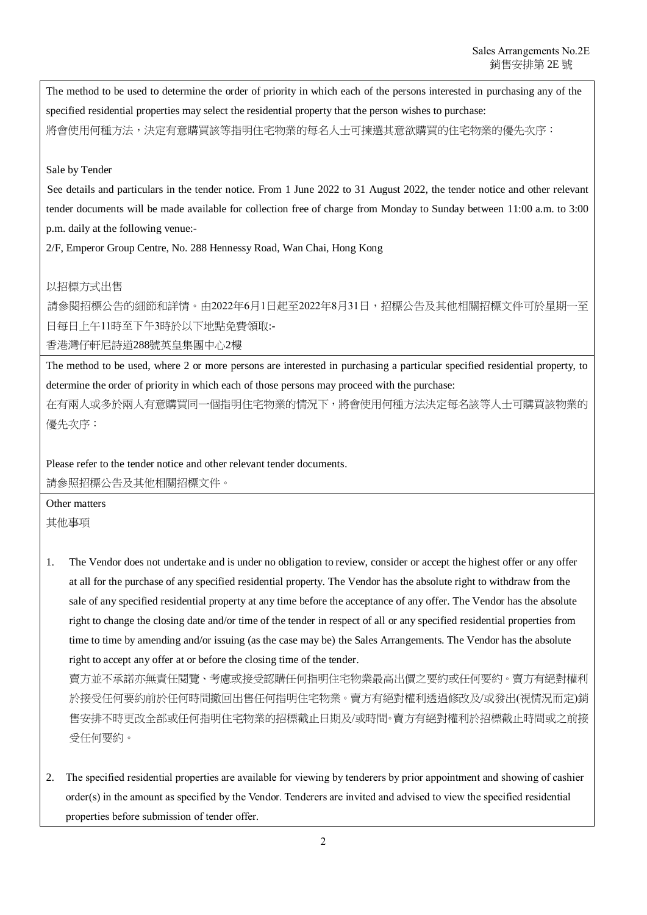The method to be used to determine the order of priority in which each of the persons interested in purchasing any of the specified residential properties may select the residential property that the person wishes to purchase: 將會使用何種方法,決定有意購買該等指明住宅物業的每名人士可揀選其意欲購買的住宅物業的優先次序:

## Sale by Tender

See details and particulars in the tender notice. From 1 June 2022 to 31 August 2022, the tender notice and other relevant tender documents will be made available for collection free of charge from Monday to Sunday between 11:00 a.m. to 3:00 p.m. daily at the following venue:-

2/F, Emperor Group Centre, No. 288 Hennessy Road, Wan Chai, Hong Kong

## 以招標方式出售

請參閱招標公告的細節和詳情。由2022年6月1日起至2022年8月31日,招標公告及其他相關招標文件可於星期一至 日每日上午11時至下午3時於以下地點免費領取:-

香港灣仔軒尼詩道288號英皇集團中心2樓

The method to be used, where 2 or more persons are interested in purchasing a particular specified residential property, to determine the order of priority in which each of those persons may proceed with the purchase:

在有兩人或多於兩人有意購買同一個指明住宅物業的情況下,將會使用何種方法決定每名該等人士可購買該物業的 優先次序:

Please refer to the tender notice and other relevant tender documents. 請參照招標公告及其他相關招標文件。

Other matters 其他事項

1. The Vendor does not undertake and is under no obligation to review, consider or accept the highest offer or any offer at all for the purchase of any specified residential property. The Vendor has the absolute right to withdraw from the sale of any specified residential property at any time before the acceptance of any offer. The Vendor has the absolute right to change the closing date and/or time of the tender in respect of all or any specified residential properties from time to time by amending and/or issuing (as the case may be) the Sales Arrangements. The Vendor has the absolute right to accept any offer at or before the closing time of the tender.

賣方並不承諾亦無責任閱覽、考慮或接受認購任何指明住宅物業最高出價之要約或任何要約。賣方有絕對權利 於接受任何要約前於任何時間撤回出售任何指明住宅物業。賣方有絕對權利透過修改及/或發出(視情況而定)銷 售安排不時更改全部或任何指明住宅物業的招標截止日期及/或時間。賣方有絕對權利於招標截止時間或之前接 受任何要約。

2. The specified residential properties are available for viewing by tenderers by prior appointment and showing of cashier order(s) in the amount as specified by the Vendor. Tenderers are invited and advised to view the specified residential properties before submission of tender offer.